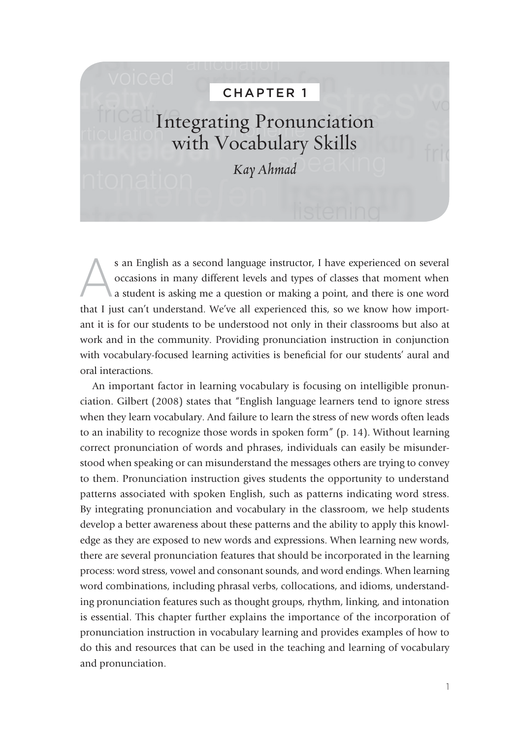## CHAPTER 1

# Integrating Pronunciation with Vocabulary Skills

*Kay Ahmad*

s an English as a second language instructor, I have experienced on several occasions in many different levels and types of classes that moment when a student is asking me a question or making a point, and there is one wor occasions in many different levels and types of classes that moment when a student is asking me a question or making a point, and there is one word that I just can't understand. We've all experienced this, so we know how important it is for our students to be understood not only in their classrooms but also at work and in the community. Providing pronunciation instruction in conjunction with vocabulary-focused learning activities is beneficial for our students' aural and oral interactions.

An important factor in learning vocabulary is focusing on intelligible pronunciation. Gilbert (2008) states that "English language learners tend to ignore stress when they learn vocabulary. And failure to learn the stress of new words often leads to an inability to recognize those words in spoken form" (p. 14). Without learning correct pronunciation of words and phrases, individuals can easily be misunderstood when speaking or can misunderstand the messages others are trying to convey to them. Pronunciation instruction gives students the opportunity to understand patterns associated with spoken English, such as patterns indicating word stress. By integrating pronunciation and vocabulary in the classroom, we help students develop a better awareness about these patterns and the ability to apply this knowledge as they are exposed to new words and expressions. When learning new words, there are several pronunciation features that should be incorporated in the learning process: word stress, vowel and consonant sounds, and word endings. When learning word combinations, including phrasal verbs, collocations, and idioms, understanding pronunciation features such as thought groups, rhythm, linking, and intonation is essential. This chapter further explains the importance of the incorporation of pronunciation instruction in vocabulary learning and provides examples of how to do this and resources that can be used in the teaching and learning of vocabulary and pronunciation.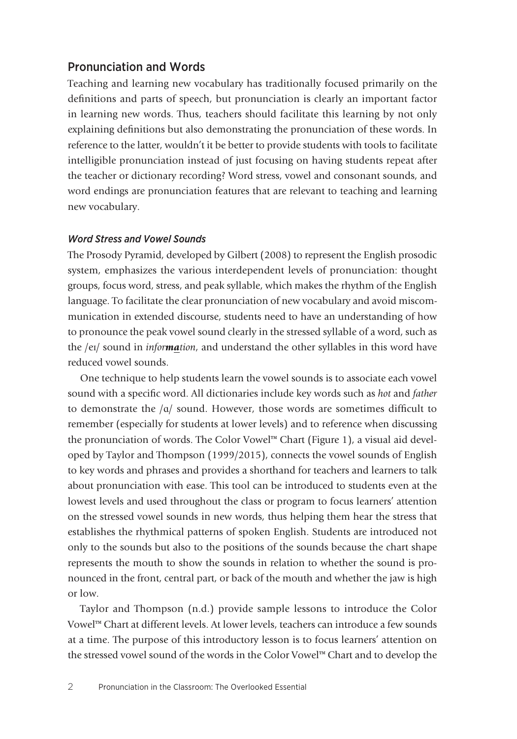## Pronunciation and Words

Teaching and learning new vocabulary has traditionally focused primarily on the definitions and parts of speech, but pronunciation is clearly an important factor in learning new words. Thus, teachers should facilitate this learning by not only explaining definitions but also demonstrating the pronunciation of these words. In reference to the latter, wouldn't it be better to provide students with tools to facilitate intelligible pronunciation instead of just focusing on having students repeat after the teacher or dictionary recording? Word stress, vowel and consonant sounds, and word endings are pronunciation features that are relevant to teaching and learning new vocabulary.

#### *Word Stress and Vowel Sounds*

The Prosody Pyramid, developed by Gilbert (2008) to represent the English prosodic system, emphasizes the various interdependent levels of pronunciation: thought groups, focus word, stress, and peak syllable, which makes the rhythm of the English language. To facilitate the clear pronunciation of new vocabulary and avoid miscommunication in extended discourse, students need to have an understanding of how to pronounce the peak vowel sound clearly in the stressed syllable of a word, such as the /eɪ/ sound in *information*, and understand the other syllables in this word have reduced vowel sounds.

One technique to help students learn the vowel sounds is to associate each vowel sound with a specific word. All dictionaries include key words such as *hot* and *father* to demonstrate the /ɑ/ sound. However, those words are sometimes difficult to remember (especially for students at lower levels) and to reference when discussing the pronunciation of words. The Color Vowel™ Chart (Figure 1), a visual aid developed by Taylor and Thompson (1999/2015), connects the vowel sounds of English to key words and phrases and provides a shorthand for teachers and learners to talk about pronunciation with ease. This tool can be introduced to students even at the lowest levels and used throughout the class or program to focus learners' attention on the stressed vowel sounds in new words, thus helping them hear the stress that establishes the rhythmical patterns of spoken English. Students are introduced not only to the sounds but also to the positions of the sounds because the chart shape represents the mouth to show the sounds in relation to whether the sound is pronounced in the front, central part, or back of the mouth and whether the jaw is high or low.

Taylor and Thompson (n.d.) provide sample lessons to introduce the Color Vowel™ Chart at different levels. At lower levels, teachers can introduce a few sounds at a time. The purpose of this introductory lesson is to focus learners' attention on the stressed vowel sound of the words in the Color Vowel™ Chart and to develop the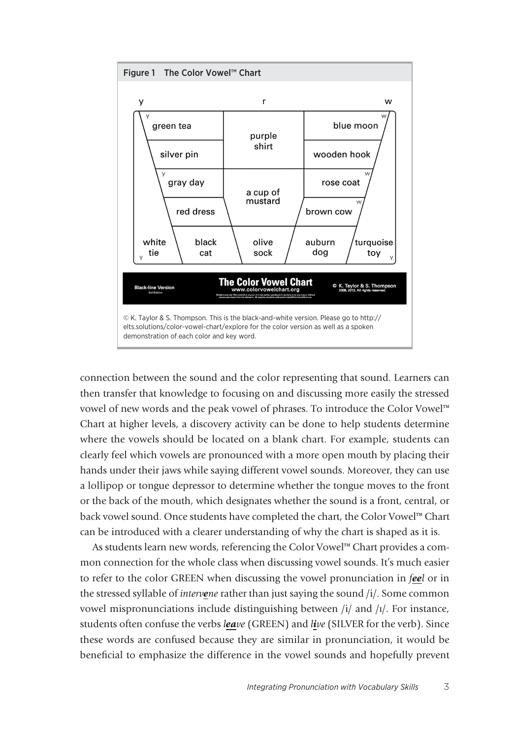

connection between the sound and the color representing that sound. Learners can then transfer that knowledge to focusing on and discussing more easily the stressed vowel of new words and the peak vowel of phrases. To introduce the Color Vowel™ Chart at higher levels, a discovery activity can be done to help students determine where the vowels should be located on a blank chart. For example, students can clearly feel which vowels are pronounced with a more open mouth by placing their hands under their jaws while saying different vowel sounds. Moreover, they can use a lollipop or tongue depressor to determine whether the tongue moves to the front or the back of the mouth, which designates whether the sound is a front, central, or back vowel sound. Once students have completed the chart, the Color Vowel™ Chart can be introduced with a clearer understanding of why the chart is shaped as it is.

As students learn new words, referencing the Color Vowel™ Chart provides a common connection for the whole class when discussing vowel sounds. It's much easier to refer to the color GREEN when discussing the vowel pronunciation in *feel* or in the stressed syllable of *intervene* rather than just saying the sound /i/. Some common vowel mispronunciations include distinguishing between /i/ and /ɪ/. For instance, students often confuse the verbs *leave* (GREEN) and *live* (SILVER for the verb). Since these words are confused because they are similar in pronunciation, it would be beneficial to emphasize the difference in the vowel sounds and hopefully prevent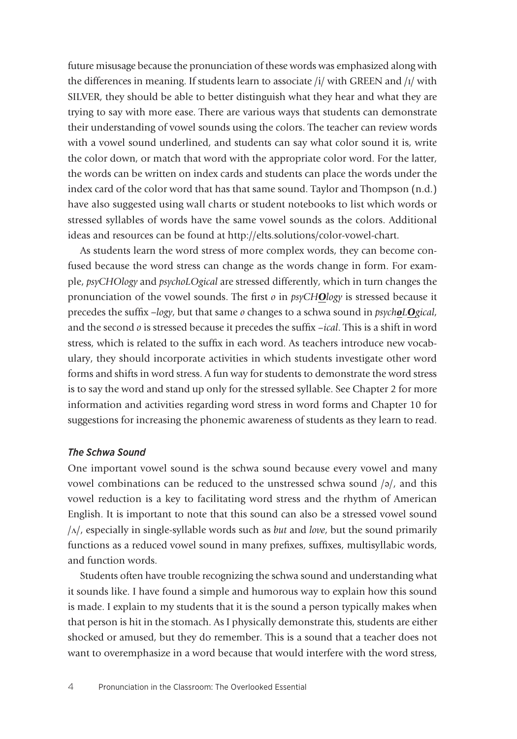future misusage because the pronunciation of these words was emphasized along with the differences in meaning. If students learn to associate /i/ with GREEN and /ɪ/ with SILVER, they should be able to better distinguish what they hear and what they are trying to say with more ease. There are various ways that students can demonstrate their understanding of vowel sounds using the colors. The teacher can review words with a vowel sound underlined, and students can say what color sound it is, write the color down, or match that word with the appropriate color word. For the latter, the words can be written on index cards and students can place the words under the index card of the color word that has that same sound. Taylor and Thompson (n.d.) have also suggested using wall charts or student notebooks to list which words or stressed syllables of words have the same vowel sounds as the colors. Additional ideas and resources can be found at http://elts.solutions/color-vowel-chart.

As students learn the word stress of more complex words, they can become confused because the word stress can change as the words change in form. For example, *psyCHOlogy* and *psychoLOgical* are stressed differently, which in turn changes the pronunciation of the vowel sounds. The first *o* in *psyCHOlogy* is stressed because it precedes the suffix *–logy*, but that same *o* changes to a schwa sound in *psychoLOgical*, and the second *o* is stressed because it precedes the suffix –*ical*. This is a shift in word stress, which is related to the suffix in each word. As teachers introduce new vocabulary, they should incorporate activities in which students investigate other word forms and shifts in word stress. A fun way for students to demonstrate the word stress is to say the word and stand up only for the stressed syllable. See Chapter 2 for more information and activities regarding word stress in word forms and Chapter 10 for suggestions for increasing the phonemic awareness of students as they learn to read.

#### *The Schwa Sound*

One important vowel sound is the schwa sound because every vowel and many vowel combinations can be reduced to the unstressed schwa sound  $\frac{\partial}{\partial}$ , and this vowel reduction is a key to facilitating word stress and the rhythm of American English. It is important to note that this sound can also be a stressed vowel sound /ʌ/, especially in single-syllable words such as *but* and *love*, but the sound primarily functions as a reduced vowel sound in many prefixes, suffixes, multisyllabic words, and function words.

Students often have trouble recognizing the schwa sound and understanding what it sounds like. I have found a simple and humorous way to explain how this sound is made. I explain to my students that it is the sound a person typically makes when that person is hit in the stomach. As I physically demonstrate this, students are either shocked or amused, but they do remember. This is a sound that a teacher does not want to overemphasize in a word because that would interfere with the word stress,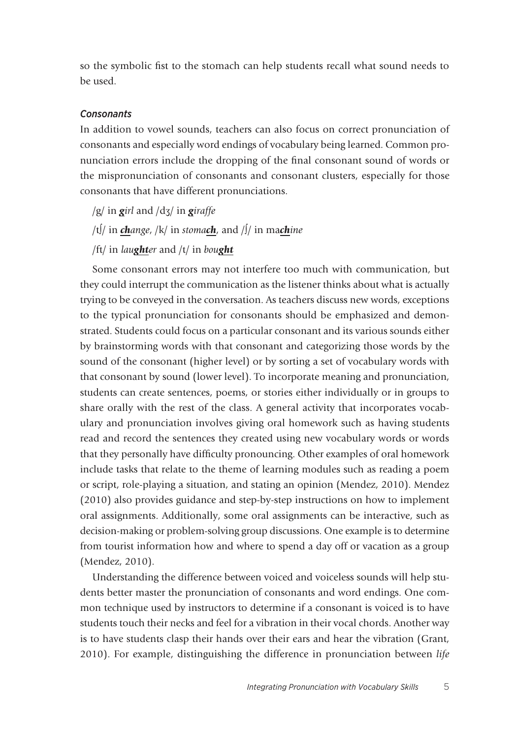so the symbolic fist to the stomach can help students recall what sound needs to be used.

#### *Consonants*

In addition to vowel sounds, teachers can also focus on correct pronunciation of consonants and especially word endings of vocabulary being learned. Common pronunciation errors include the dropping of the final consonant sound of words or the mispronunciation of consonants and consonant clusters, especially for those consonants that have different pronunciations.

- /g/ in *girl* and /dʒ/ in *giraffe*
- /t∫/ in *change*, /k/ in *stomach*, and /∫/ in ma*chine*
- /ft/ in *laughter* and /t/ in *bought*

Some consonant errors may not interfere too much with communication, but they could interrupt the communication as the listener thinks about what is actually trying to be conveyed in the conversation. As teachers discuss new words, exceptions to the typical pronunciation for consonants should be emphasized and demonstrated. Students could focus on a particular consonant and its various sounds either by brainstorming words with that consonant and categorizing those words by the sound of the consonant (higher level) or by sorting a set of vocabulary words with that consonant by sound (lower level). To incorporate meaning and pronunciation, students can create sentences, poems, or stories either individually or in groups to share orally with the rest of the class. A general activity that incorporates vocabulary and pronunciation involves giving oral homework such as having students read and record the sentences they created using new vocabulary words or words that they personally have difficulty pronouncing. Other examples of oral homework include tasks that relate to the theme of learning modules such as reading a poem or script, role-playing a situation, and stating an opinion (Mendez, 2010). Mendez (2010) also provides guidance and step-by-step instructions on how to implement oral assignments. Additionally, some oral assignments can be interactive, such as decision-making or problem-solving group discussions. One example is to determine from tourist information how and where to spend a day off or vacation as a group (Mendez, 2010).

Understanding the difference between voiced and voiceless sounds will help students better master the pronunciation of consonants and word endings. One common technique used by instructors to determine if a consonant is voiced is to have students touch their necks and feel for a vibration in their vocal chords. Another way is to have students clasp their hands over their ears and hear the vibration (Grant, 2010). For example, distinguishing the difference in pronunciation between *life*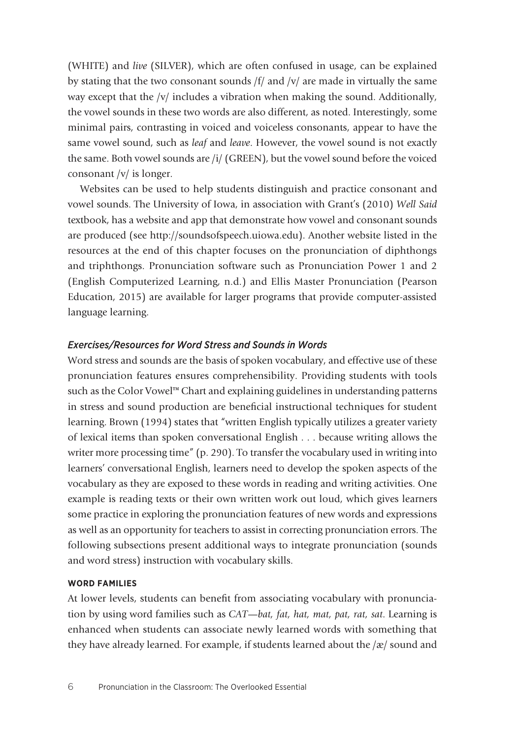(WHITE) and *live* (SILVER), which are often confused in usage, can be explained by stating that the two consonant sounds  $/f/$  and  $/v/$  are made in virtually the same way except that the  $\frac{v}{r}$  includes a vibration when making the sound. Additionally, the vowel sounds in these two words are also different, as noted. Interestingly, some minimal pairs, contrasting in voiced and voiceless consonants, appear to have the same vowel sound, such as *leaf* and *leave*. However, the vowel sound is not exactly the same. Both vowel sounds are /i/ (GREEN), but the vowel sound before the voiced consonant /v/ is longer.

Websites can be used to help students distinguish and practice consonant and vowel sounds. The University of Iowa, in association with Grant's (2010) *Well Said* textbook, has a website and app that demonstrate how vowel and consonant sounds are produced (see http://soundsofspeech.uiowa.edu). Another website listed in the resources at the end of this chapter focuses on the pronunciation of diphthongs and triphthongs. Pronunciation software such as Pronunciation Power 1 and 2 (English Computerized Learning, n.d.) and Ellis Master Pronunciation (Pearson Education, 2015) are available for larger programs that provide computer-assisted language learning.

#### *Exercises/Resources for Word Stress and Sounds in Words*

Word stress and sounds are the basis of spoken vocabulary, and effective use of these pronunciation features ensures comprehensibility. Providing students with tools such as the Color Vowel™ Chart and explaining guidelines in understanding patterns in stress and sound production are beneficial instructional techniques for student learning. Brown (1994) states that "written English typically utilizes a greater variety of lexical items than spoken conversational English . . . because writing allows the writer more processing time" (p. 290). To transfer the vocabulary used in writing into learners' conversational English, learners need to develop the spoken aspects of the vocabulary as they are exposed to these words in reading and writing activities. One example is reading texts or their own written work out loud, which gives learners some practice in exploring the pronunciation features of new words and expressions as well as an opportunity for teachers to assist in correcting pronunciation errors. The following subsections present additional ways to integrate pronunciation (sounds and word stress) instruction with vocabulary skills.

#### **WORD FAMILIES**

At lower levels, students can benefit from associating vocabulary with pronunciation by using word families such as *CAT*—*bat, fat, hat, mat, pat, rat, sat*. Learning is enhanced when students can associate newly learned words with something that they have already learned. For example, if students learned about the /æ/ sound and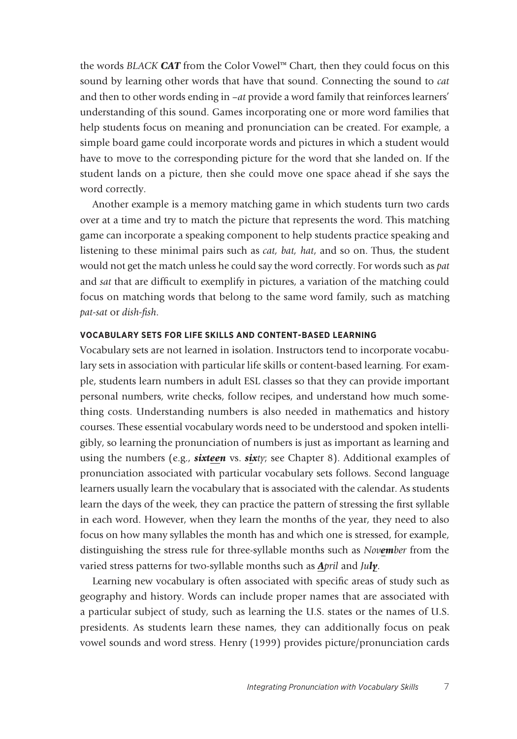the words *BLACK CAT* from the Color Vowel™ Chart, then they could focus on this sound by learning other words that have that sound. Connecting the sound to *cat* and then to other words ending in –*at* provide a word family that reinforces learners' understanding of this sound. Games incorporating one or more word families that help students focus on meaning and pronunciation can be created. For example, a simple board game could incorporate words and pictures in which a student would have to move to the corresponding picture for the word that she landed on. If the student lands on a picture, then she could move one space ahead if she says the word correctly.

Another example is a memory matching game in which students turn two cards over at a time and try to match the picture that represents the word. This matching game can incorporate a speaking component to help students practice speaking and listening to these minimal pairs such as *cat, bat, hat*, and so on. Thus, the student would not get the match unless he could say the word correctly. For words such as *pat* and *sat* that are difficult to exemplify in pictures, a variation of the matching could focus on matching words that belong to the same word family, such as matching *pat-sat* or *dish-fish*.

#### **VOCABULARY SETS FOR LIFE SKILLS AND CONTENT-BASED LEARNING**

Vocabulary sets are not learned in isolation. Instructors tend to incorporate vocabulary sets in association with particular life skills or content-based learning. For example, students learn numbers in adult ESL classes so that they can provide important personal numbers, write checks, follow recipes, and understand how much something costs. Understanding numbers is also needed in mathematics and history courses. These essential vocabulary words need to be understood and spoken intelligibly, so learning the pronunciation of numbers is just as important as learning and using the numbers (e.g., *sixteen* vs. *sixty*; see Chapter 8). Additional examples of pronunciation associated with particular vocabulary sets follows. Second language learners usually learn the vocabulary that is associated with the calendar. As students learn the days of the week, they can practice the pattern of stressing the first syllable in each word. However, when they learn the months of the year, they need to also focus on how many syllables the month has and which one is stressed, for example, distinguishing the stress rule for three-syllable months such as *November* from the varied stress patterns for two-syllable months such as *April* and *July*.

Learning new vocabulary is often associated with specific areas of study such as geography and history. Words can include proper names that are associated with a particular subject of study, such as learning the U.S. states or the names of U.S. presidents. As students learn these names, they can additionally focus on peak vowel sounds and word stress. Henry (1999) provides picture/pronunciation cards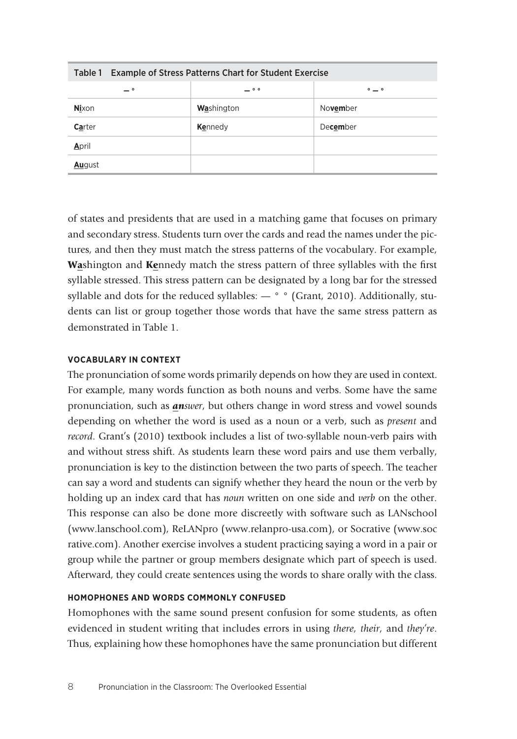| Table 1       | <b>Example of Stress Patterns Chart for Student Exercise</b> |                      |  |  |  |
|---------------|--------------------------------------------------------------|----------------------|--|--|--|
| $-°$          | $ \circ$ $\circ$                                             | $\circ$ $\_$ $\circ$ |  |  |  |
| <b>Nixon</b>  | <b>Washington</b>                                            | November             |  |  |  |
| <b>Carter</b> | Kennedy                                                      | December             |  |  |  |
| April         |                                                              |                      |  |  |  |
| <b>August</b> |                                                              |                      |  |  |  |

of states and presidents that are used in a matching game that focuses on primary and secondary stress. Students turn over the cards and read the names under the pictures, and then they must match the stress patterns of the vocabulary. For example, Washington and Kennedy match the stress pattern of three syllables with the first syllable stressed. This stress pattern can be designated by a long bar for the stressed syllable and dots for the reduced syllables:  $\degree$   $\degree$  (Grant, 2010). Additionally, students can list or group together those words that have the same stress pattern as demonstrated in Table 1.

#### **VOCABULARY IN CONTEXT**

The pronunciation of some words primarily depends on how they are used in context. For example, many words function as both nouns and verbs. Some have the same pronunciation, such as *answer*, but others change in word stress and vowel sounds depending on whether the word is used as a noun or a verb, such as *present* and *record*. Grant's (2010) textbook includes a list of two-syllable noun-verb pairs with and without stress shift. As students learn these word pairs and use them verbally, pronunciation is key to the distinction between the two parts of speech. The teacher can say a word and students can signify whether they heard the noun or the verb by holding up an index card that has *noun* written on one side and *verb* on the other. This response can also be done more discreetly with software such as LANschool (www.lanschool.com), ReLANpro (www.relanpro-usa.com), or Socrative (www.soc rative.com). Another exercise involves a student practicing saying a word in a pair or group while the partner or group members designate which part of speech is used. Afterward, they could create sentences using the words to share orally with the class.

## **HOMOPHONES AND WORDS COMMONLY CONFUSED**

Homophones with the same sound present confusion for some students, as often evidenced in student writing that includes errors in using *there, their,* and *they're*. Thus, explaining how these homophones have the same pronunciation but different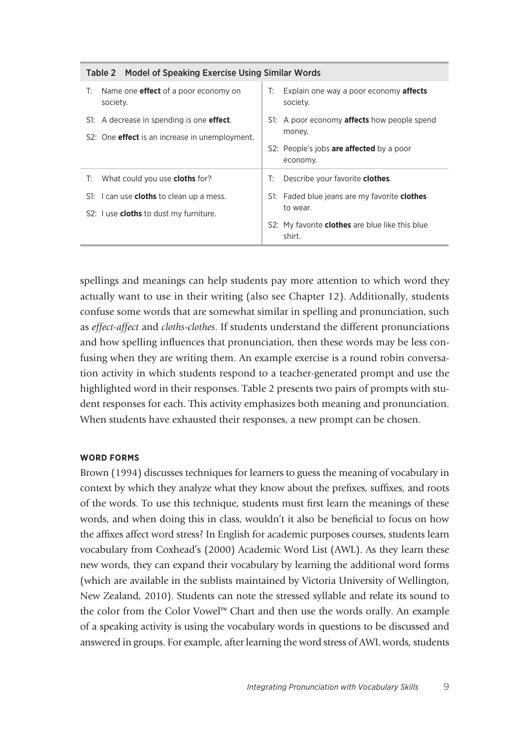| Table 2 - Plouel of Speaking Exercise Osing Similar Words |                                                                                                            |    |                                                              |  |
|-----------------------------------------------------------|------------------------------------------------------------------------------------------------------------|----|--------------------------------------------------------------|--|
| T:                                                        | Name one <b>effect</b> of a poor economy on<br>society.                                                    | T: | Explain one way a poor economy <b>affects</b><br>society.    |  |
|                                                           | S1: A decrease in spending is one <b>effect</b> .<br>S2: One <b>effect</b> is an increase in unemployment. |    | S1: A poor economy <b>affects</b> how people spend<br>money. |  |
|                                                           |                                                                                                            |    | S2: People's jobs are affected by a poor<br>economy.         |  |
| T:                                                        | What could you use <b>cloths</b> for?                                                                      | T: | Describe your favorite clothes.                              |  |
|                                                           | S1: I can use <b>cloths</b> to clean up a mess.                                                            |    | S1: Faded blue jeans are my favorite clothes                 |  |
|                                                           | S2: I use <b>cloths</b> to dust my furniture.                                                              |    | to wear.                                                     |  |
|                                                           |                                                                                                            |    | S2: My favorite clothes are blue like this blue<br>shirt.    |  |

Table 2 Model of Speaking Exercise Using Similar Words

spellings and meanings can help students pay more attention to which word they actually want to use in their writing (also see Chapter 12). Additionally, students confuse some words that are somewhat similar in spelling and pronunciation, such as *effect*-*affect* and *cloths*-*clothes*. If students understand the different pronunciations and how spelling influences that pronunciation, then these words may be less confusing when they are writing them. An example exercise is a round robin conversation activity in which students respond to a teacher-generated prompt and use the highlighted word in their responses. Table 2 presents two pairs of prompts with student responses for each. This activity emphasizes both meaning and pronunciation. When students have exhausted their responses, a new prompt can be chosen.

#### **WORD FORMS**

Brown (1994) discusses techniques for learners to guess the meaning of vocabulary in context by which they analyze what they know about the prefixes, suffixes, and roots of the words. To use this technique, students must first learn the meanings of these words, and when doing this in class, wouldn't it also be beneficial to focus on how the affixes affect word stress? In English for academic purposes courses, students learn vocabulary from Coxhead's (2000) Academic Word List (AWL). As they learn these new words, they can expand their vocabulary by learning the additional word forms (which are available in the sublists maintained by Victoria University of Wellington, New Zealand, 2010). Students can note the stressed syllable and relate its sound to the color from the Color Vowel™ Chart and then use the words orally. An example of a speaking activity is using the vocabulary words in questions to be discussed and answered in groups. For example, after learning the word stress of AWL words, students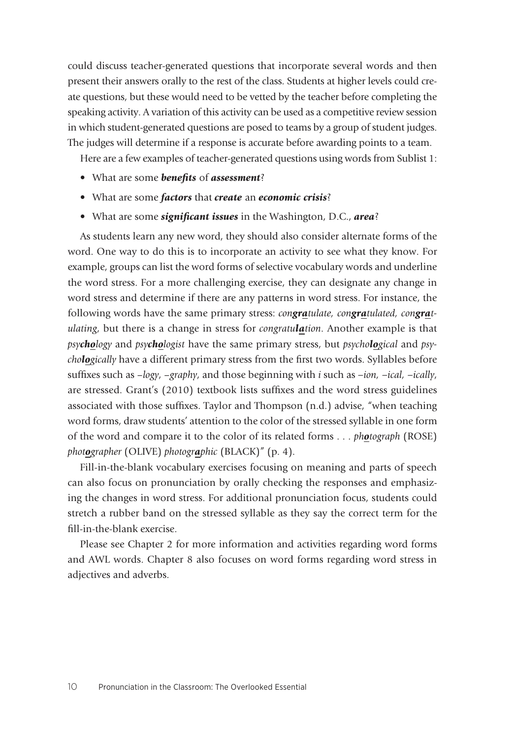could discuss teacher-generated questions that incorporate several words and then present their answers orally to the rest of the class. Students at higher levels could create questions, but these would need to be vetted by the teacher before completing the speaking activity. A variation of this activity can be used as a competitive review session in which student-generated questions are posed to teams by a group of student judges. The judges will determine if a response is accurate before awarding points to a team.

Here are a few examples of teacher-generated questions using words from Sublist 1:

- What are some *benefits* of *assessment*?
- What are some *factors* that *create* an *economic crisis*?
- What are some *significant issues* in the Washington, D.C., *area*?

As students learn any new word, they should also consider alternate forms of the word. One way to do this is to incorporate an activity to see what they know. For example, groups can list the word forms of selective vocabulary words and underline the word stress. For a more challenging exercise, they can designate any change in word stress and determine if there are any patterns in word stress. For instance, the following words have the same primary stress: *congratulate, congratulated, congratulating*, but there is a change in stress for *congratulation*. Another example is that *psychology* and *psychologist* have the same primary stress, but *psychological* and *psychologically* have a different primary stress from the first two words. Syllables before suffixes such as –*logy*, –*graphy*, and those beginning with *i* such as *–ion, –ical, –ically*, are stressed. Grant's (2010) textbook lists suffixes and the word stress guidelines associated with those suffixes. Taylor and Thompson (n.d.) advise, "when teaching word forms, draw students' attention to the color of the stressed syllable in one form of the word and compare it to the color of its related forms . . . *photograph* (ROSE) *photographer* (OLIVE) *photographic* (BLACK)" (p. 4).

Fill-in-the-blank vocabulary exercises focusing on meaning and parts of speech can also focus on pronunciation by orally checking the responses and emphasizing the changes in word stress. For additional pronunciation focus, students could stretch a rubber band on the stressed syllable as they say the correct term for the fill-in-the-blank exercise.

Please see Chapter 2 for more information and activities regarding word forms and AWL words. Chapter 8 also focuses on word forms regarding word stress in adjectives and adverbs.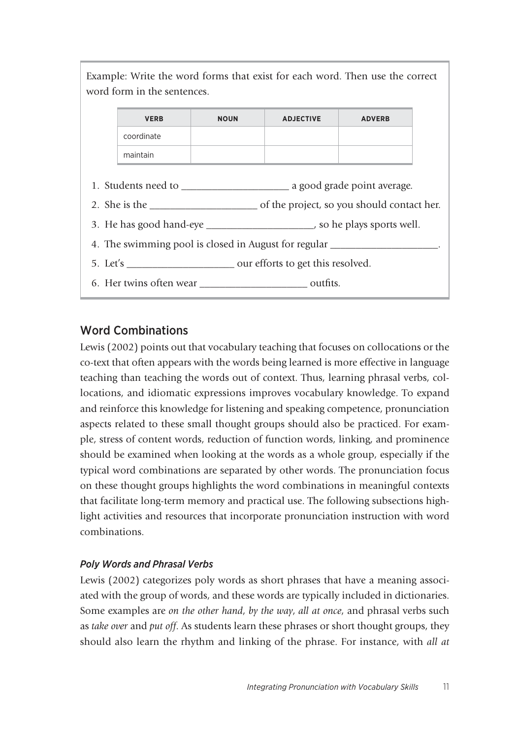|  | word form in the sentences.                                               |             |                  |                                                                            |  |
|--|---------------------------------------------------------------------------|-------------|------------------|----------------------------------------------------------------------------|--|
|  | <b>VERB</b>                                                               | <b>NOUN</b> | <b>ADJECTIVE</b> | <b>ADVERB</b>                                                              |  |
|  | coordinate                                                                |             |                  |                                                                            |  |
|  | maintain                                                                  |             |                  |                                                                            |  |
|  | 2. She is the subsequently set of the project, so you should contact her. |             |                  |                                                                            |  |
|  |                                                                           |             |                  |                                                                            |  |
|  |                                                                           |             |                  | 4. The swimming pool is closed in August for regular ____________________. |  |
|  |                                                                           |             |                  |                                                                            |  |
|  | 6. Her twins often wear                                                   |             | outfits.         |                                                                            |  |

Example: Write the word forms that exist for each word. Then use the correct

Word Combinations

Lewis (2002) points out that vocabulary teaching that focuses on collocations or the co-text that often appears with the words being learned is more effective in language teaching than teaching the words out of context. Thus, learning phrasal verbs, collocations, and idiomatic expressions improves vocabulary knowledge. To expand and reinforce this knowledge for listening and speaking competence, pronunciation aspects related to these small thought groups should also be practiced. For example, stress of content words, reduction of function words, linking, and prominence should be examined when looking at the words as a whole group, especially if the typical word combinations are separated by other words. The pronunciation focus on these thought groups highlights the word combinations in meaningful contexts that facilitate long-term memory and practical use. The following subsections highlight activities and resources that incorporate pronunciation instruction with word combinations.

## *Poly Words and Phrasal Verbs*

Lewis (2002) categorizes poly words as short phrases that have a meaning associated with the group of words, and these words are typically included in dictionaries. Some examples are *on the other hand*, *by the way*, *all at once*, and phrasal verbs such as *take over* and *put off*. As students learn these phrases or short thought groups, they should also learn the rhythm and linking of the phrase. For instance, with *all at*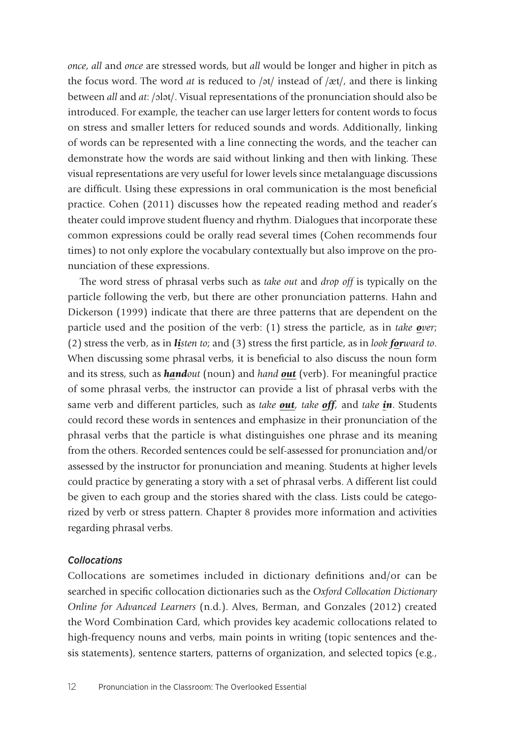*once*, *all* and *once* are stressed words, but *all* would be longer and higher in pitch as the focus word. The word *at* is reduced to /ət/ instead of /æt/, and there is linking between *all* and *at*: /ɔlət/. Visual representations of the pronunciation should also be introduced. For example, the teacher can use larger letters for content words to focus on stress and smaller letters for reduced sounds and words. Additionally, linking of words can be represented with a line connecting the words, and the teacher can demonstrate how the words are said without linking and then with linking. These visual representations are very useful for lower levels since metalanguage discussions are difficult. Using these expressions in oral communication is the most beneficial practice. Cohen (2011) discusses how the repeated reading method and reader's theater could improve student fluency and rhythm. Dialogues that incorporate these common expressions could be orally read several times (Cohen recommends four times) to not only explore the vocabulary contextually but also improve on the pronunciation of these expressions.

The word stress of phrasal verbs such as *take out* and *drop off* is typically on the particle following the verb, but there are other pronunciation patterns. Hahn and Dickerson (1999) indicate that there are three patterns that are dependent on the particle used and the position of the verb: (1) stress the particle, as in *take over*; (2) stress the verb, as in *listen to*; and (3) stress the first particle, as in *look forward to*. When discussing some phrasal verbs, it is beneficial to also discuss the noun form and its stress, such as *handout* (noun) and *hand out* (verb). For meaningful practice of some phrasal verbs, the instructor can provide a list of phrasal verbs with the same verb and different particles, such as *take out, take off,* and *take in*. Students could record these words in sentences and emphasize in their pronunciation of the phrasal verbs that the particle is what distinguishes one phrase and its meaning from the others. Recorded sentences could be self-assessed for pronunciation and/or assessed by the instructor for pronunciation and meaning. Students at higher levels could practice by generating a story with a set of phrasal verbs. A different list could be given to each group and the stories shared with the class. Lists could be categorized by verb or stress pattern. Chapter 8 provides more information and activities regarding phrasal verbs.

#### *Collocations*

Collocations are sometimes included in dictionary definitions and/or can be searched in specific collocation dictionaries such as the *Oxford Collocation Dictionary Online for Advanced Learners* (n.d.). Alves, Berman, and Gonzales (2012) created the Word Combination Card, which provides key academic collocations related to high-frequency nouns and verbs, main points in writing (topic sentences and thesis statements), sentence starters, patterns of organization, and selected topics (e.g.,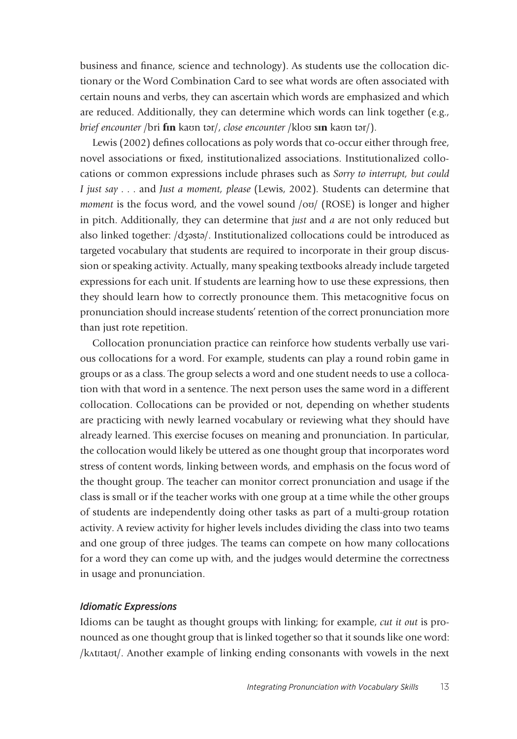business and finance, science and technology). As students use the collocation dictionary or the Word Combination Card to see what words are often associated with certain nouns and verbs, they can ascertain which words are emphasized and which are reduced. Additionally, they can determine which words can link together (e.g., *brief encounter* /bri f**ɪ**n kaʊn tər/, *close encounter* /kloʊ s**ɪ**n kaʊn tər/).

Lewis (2002) defines collocations as poly words that co-occur either through free, novel associations or fixed, institutionalized associations. Institutionalized collocations or common expressions include phrases such as *Sorry to interrupt, but could I just say* . . . and *Just a moment, please* (Lewis, 2002)*.* Students can determine that *moment* is the focus word, and the vowel sound /ov/ (ROSE) is longer and higher in pitch. Additionally, they can determine that *just* and *a* are not only reduced but also linked together: /dʒəstə/. Institutionalized collocations could be introduced as targeted vocabulary that students are required to incorporate in their group discussion or speaking activity. Actually, many speaking textbooks already include targeted expressions for each unit. If students are learning how to use these expressions, then they should learn how to correctly pronounce them. This metacognitive focus on pronunciation should increase students' retention of the correct pronunciation more than just rote repetition.

Collocation pronunciation practice can reinforce how students verbally use various collocations for a word. For example, students can play a round robin game in groups or as a class. The group selects a word and one student needs to use a collocation with that word in a sentence. The next person uses the same word in a different collocation. Collocations can be provided or not, depending on whether students are practicing with newly learned vocabulary or reviewing what they should have already learned. This exercise focuses on meaning and pronunciation. In particular, the collocation would likely be uttered as one thought group that incorporates word stress of content words, linking between words, and emphasis on the focus word of the thought group. The teacher can monitor correct pronunciation and usage if the class is small or if the teacher works with one group at a time while the other groups of students are independently doing other tasks as part of a multi-group rotation activity. A review activity for higher levels includes dividing the class into two teams and one group of three judges. The teams can compete on how many collocations for a word they can come up with, and the judges would determine the correctness in usage and pronunciation.

#### *Idiomatic Expressions*

Idioms can be taught as thought groups with linking; for example, *cut it out* is pronounced as one thought group that is linked together so that it sounds like one word: /kʌtitaʊt/. Another example of linking ending consonants with vowels in the next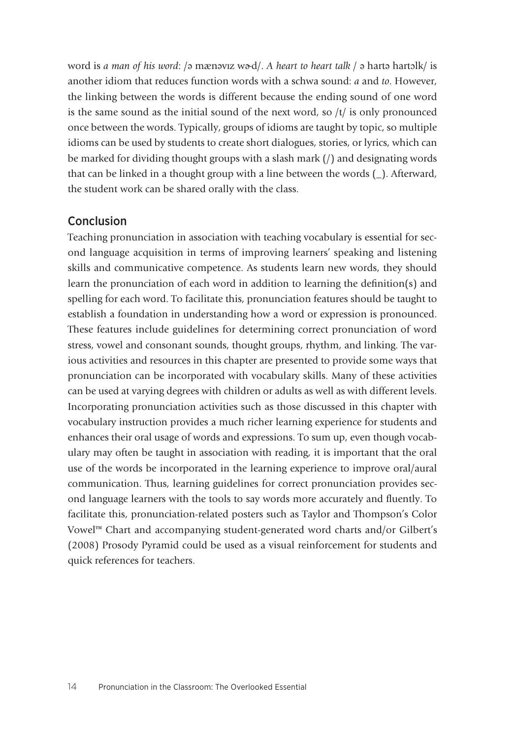word is *a man of his word*: /ə mænəviz w�d/. *A heart to heart talk* / ə hartə hartəlk/ is another idiom that reduces function words with a schwa sound: *a* and *to*. However, the linking between the words is different because the ending sound of one word is the same sound as the initial sound of the next word, so  $/t/$  is only pronounced once between the words. Typically, groups of idioms are taught by topic, so multiple idioms can be used by students to create short dialogues, stories, or lyrics, which can be marked for dividing thought groups with a slash mark (/) and designating words that can be linked in a thought group with a line between the words (\_). Afterward, the student work can be shared orally with the class.

## Conclusion

Teaching pronunciation in association with teaching vocabulary is essential for second language acquisition in terms of improving learners' speaking and listening skills and communicative competence. As students learn new words, they should learn the pronunciation of each word in addition to learning the definition(s) and spelling for each word. To facilitate this, pronunciation features should be taught to establish a foundation in understanding how a word or expression is pronounced. These features include guidelines for determining correct pronunciation of word stress, vowel and consonant sounds, thought groups, rhythm, and linking. The various activities and resources in this chapter are presented to provide some ways that pronunciation can be incorporated with vocabulary skills. Many of these activities can be used at varying degrees with children or adults as well as with different levels. Incorporating pronunciation activities such as those discussed in this chapter with vocabulary instruction provides a much richer learning experience for students and enhances their oral usage of words and expressions. To sum up, even though vocabulary may often be taught in association with reading, it is important that the oral use of the words be incorporated in the learning experience to improve oral/aural communication. Thus, learning guidelines for correct pronunciation provides second language learners with the tools to say words more accurately and fluently. To facilitate this, pronunciation-related posters such as Taylor and Thompson's Color Vowel™ Chart and accompanying student-generated word charts and/or Gilbert's (2008) Prosody Pyramid could be used as a visual reinforcement for students and quick references for teachers.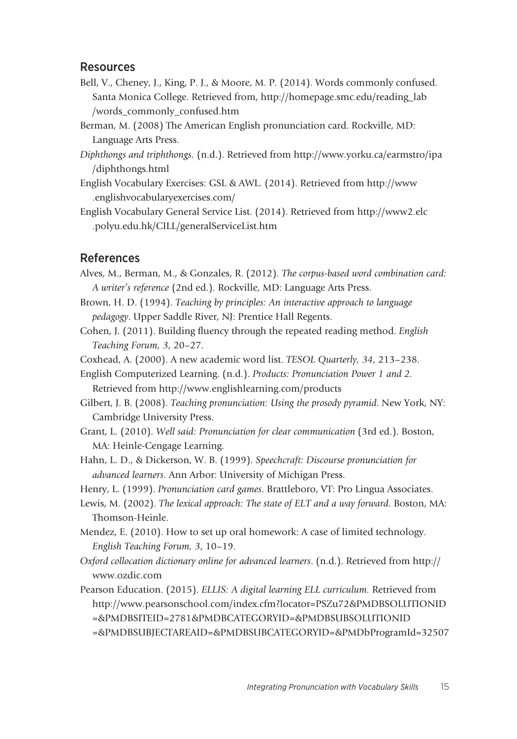## Resources

- Bell, V., Cheney, J., King, P. J., & Moore, M. P. (2014). Words commonly confused. Santa Monica College. Retrieved from, http://homepage.smc.edu/reading\_lab /words\_commonly\_confused.htm
- Berman, M. (2008) The American English pronunciation card. Rockville, MD: Language Arts Press.
- *Diphthongs and triphthongs.* (n.d.). Retrieved from http://www.yorku.ca/earmstro/ipa /diphthongs.html
- English Vocabulary Exercises: GSL & AWL. (2014). Retrieved from http://www .englishvocabularyexercises.com/
- English Vocabulary General Service List. (2014). Retrieved from http://www2.elc .polyu.edu.hk/CILL/generalServiceList.htm

## References

- Alves, M., Berman, M., & Gonzales, R. (2012). *The corpus-based word combination card: A writer's reference* (2nd ed.). Rockville, MD: Language Arts Press.
- Brown, H. D. (1994). *Teaching by principles: An interactive approach to language pedagogy*. Upper Saddle River, NJ: Prentice Hall Regents.
- Cohen, J. (2011). Building fluency through the repeated reading method. *English Teaching Forum, 3*, 20–27.
- Coxhead, A. (2000). A new academic word list. *TESOL Quarterly, 34*, 213–238.
- English Computerized Learning. (n.d.). *Products: Pronunciation Power 1 and 2.* Retrieved from http://www.englishlearning.com/products
- Gilbert, J. B. (2008). *Teaching pronunciation: Using the prosody pyramid*. New York, NY: Cambridge University Press.
- Grant, L. (2010). *Well said: Pronunciation for clear communication* (3rd ed.). Boston, MA: Heinle-Cengage Learning.
- Hahn, L. D., & Dickerson, W. B. (1999). *Speechcraft: Discourse pronunciation for advanced learners*. Ann Arbor: University of Michigan Press.
- Henry, L. (1999). *Pronunciation card games*. Brattleboro, VT: Pro Lingua Associates.
- Lewis, M. (2002). *The lexical approach: The state of ELT and a way forward*. Boston, MA: Thomson-Heinle.
- Mendez, E. (2010). How to set up oral homework: A case of limited technology. *English Teaching Forum, 3*, 10–19.
- *Oxford collocation dictionary online for advanced learners*. (n.d.). Retrieved from http:// www.ozdic.com
- Pearson Education. (2015). *ELLIS: A digital learning ELL curriculum.* Retrieved from http://www.pearsonschool.com/index.cfm?locator=PSZu72&PMDBSOLUTIONID =&PMDBSITEID=2781&PMDBCATEGORYID=&PMDBSUBSOLUTIONID =&PMDBSUBJECTAREAID=&PMDBSUBCATEGORYID=&PMDbProgramId=32507